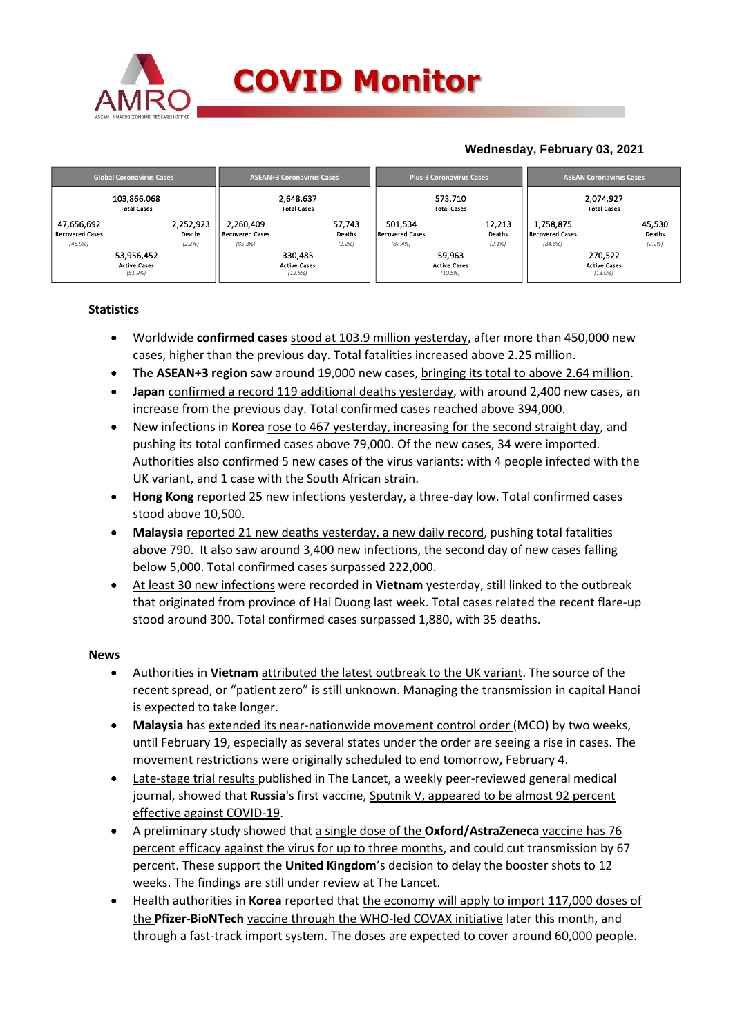

## **Wednesday, February 03, 2021**

|                                                 | <b>Global Coronavirus Cases</b>              |                                                | <b>ASEAN+3 Coronavirus Cases</b>          |                                              | <b>Plus-3 Coronavirus Cases</b>          | <b>ASEAN Coronavirus Cases</b>                 |                                           |  |
|-------------------------------------------------|----------------------------------------------|------------------------------------------------|-------------------------------------------|----------------------------------------------|------------------------------------------|------------------------------------------------|-------------------------------------------|--|
|                                                 | 103,866,068<br><b>Total Cases</b>            |                                                | 2,648,637<br><b>Total Cases</b>           |                                              | 573,710<br><b>Total Cases</b>            | 2,074,927<br><b>Total Cases</b>                |                                           |  |
| 47,656,692<br><b>Recovered Cases</b><br>(45.9%) | 2,252,923<br>Deaths<br>(2.2%)                | 2,260,409<br><b>Recovered Cases</b><br>(85.3%) | 57,743<br>Deaths<br>(2.2%)                | 501.534<br><b>Recovered Cases</b><br>(87.4%) | 12,213<br>Deaths<br>(2.1%)               | 1,758,875<br><b>Recovered Cases</b><br>(84.8%) | 45,530<br>Deaths<br>(2.2%)                |  |
|                                                 | 53,956,452<br><b>Active Cases</b><br>(51.9%) |                                                | 330,485<br><b>Active Cases</b><br>(12.5%) |                                              | 59,963<br><b>Active Cases</b><br>(10.5%) |                                                | 270,522<br><b>Active Cases</b><br>(13.0%) |  |

### **Statistics**

- Worldwide **confirmed cases** stood at 103.9 million yesterday, after more than 450,000 new cases, higher than the previous day. Total fatalities increased above 2.25 million.
- The **ASEAN+3 region** saw around 19,000 new cases, bringing its total to above 2.64 million.
- **Japan** confirmed a record 119 additional deaths yesterday, with around 2,400 new cases, an increase from the previous day. Total confirmed cases reached above 394,000.
- New infections in **Korea** rose to 467 yesterday, increasing for the second straight day, and pushing its total confirmed cases above 79,000. Of the new cases, 34 were imported. Authorities also confirmed 5 new cases of the virus variants: with 4 people infected with the UK variant, and 1 case with the South African strain.
- **Hong Kong** reported 25 new infections yesterday, a three-day low. Total confirmed cases stood above 10,500.
- **Malaysia** reported 21 new deaths yesterday, a new daily record, pushing total fatalities above 790. It also saw around 3,400 new infections, the second day of new cases falling below 5,000. Total confirmed cases surpassed 222,000.
- At least 30 new infections were recorded in **Vietnam** yesterday, still linked to the outbreak that originated from province of Hai Duong last week. Total cases related the recent flare-up stood around 300. Total confirmed cases surpassed 1,880, with 35 deaths.

#### **News**

- Authorities in **Vietnam** attributed the latest outbreak to the UK variant. The source of the recent spread, or "patient zero" is still unknown. Managing the transmission in capital Hanoi is expected to take longer.
- **Malaysia** has extended its near-nationwide movement control order (MCO) by two weeks, until February 19, especially as several states under the order are seeing a rise in cases. The movement restrictions were originally scheduled to end tomorrow, February 4.
- Late-stage trial results published in The Lancet, a weekly peer-reviewed general medical journal, showed that **Russia**'s first vaccine, Sputnik V, appeared to be almost 92 percent effective against COVID-19.
- A preliminary study showed that a single dose of the **Oxford/AstraZeneca** vaccine has 76 percent efficacy against the virus for up to three months, and could cut transmission by 67 percent. These support the **United Kingdom**'s decision to delay the booster shots to 12 weeks. The findings are still under review at The Lancet.
- Health authorities in **Korea** reported that the economy will apply to import 117,000 doses of the **Pfizer-BioNTech** vaccine through the WHO-led COVAX initiative later this month, and through a fast-track import system. The doses are expected to cover around 60,000 people.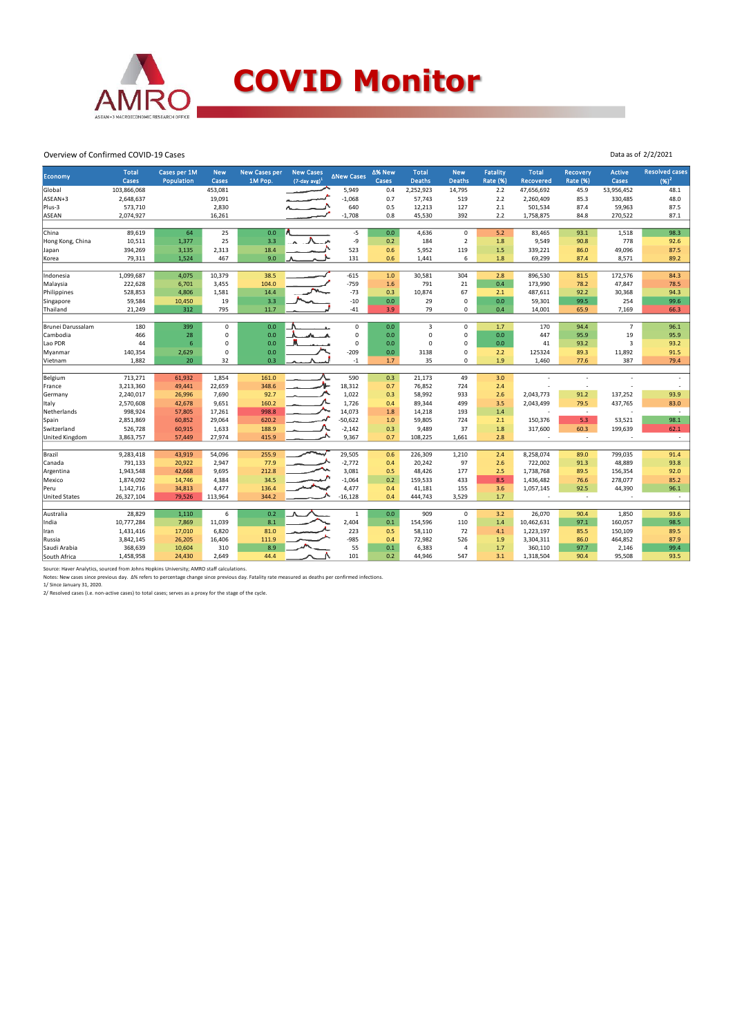

# **COVID Monitor**

Data as of 2/2/2021

#### Overview of Confirmed COVID-19 Cases

| <b>Economy</b>       | <b>Total</b><br>Cases | Cases per 1M<br>Population | <b>New</b><br>Cases | <b>New Cases per</b><br>1M Pop. | <b>New Cases</b><br>$(7$ -day avg) <sup>2</sup> | ∆New Cases            | ∆% New<br>Cases | <b>Total</b><br><b>Deaths</b> | <b>New</b><br><b>Deaths</b> | Fatality<br><b>Rate (%)</b> | <b>Total</b><br><b>Recovered</b> | <b>Recovery</b><br><b>Rate (%)</b> | <b>Active</b><br>Cases  | <b>Resolved cases</b><br>$(96)^2$ |
|----------------------|-----------------------|----------------------------|---------------------|---------------------------------|-------------------------------------------------|-----------------------|-----------------|-------------------------------|-----------------------------|-----------------------------|----------------------------------|------------------------------------|-------------------------|-----------------------------------|
| Global               | 103,866,068           |                            | 453,081             |                                 |                                                 | 5,949                 | 0.4             | 2,252,923                     | 14,795                      | 2.2                         | 47,656,692                       | 45.9                               | 53,956,452              | 48.1                              |
| ASEAN+3              | 2,648,637             |                            | 19,091              |                                 |                                                 | $-1,068$              | 0.7             | 57,743                        | 519                         | 2.2                         | 2,260,409                        | 85.3                               | 330,485                 | 48.0                              |
| Plus-3               | 573,710               |                            | 2,830               |                                 |                                                 | 640                   | 0.5             | 12,213                        | 127                         | 2.1                         | 501,534                          | 87.4                               | 59,963                  | 87.5                              |
| ASEAN                | 2,074,927             |                            | 16,261              |                                 |                                                 | $-1,708$              | 0.8             | 45,530                        | 392                         | 2.2                         | 1,758,875                        | 84.8                               | 270,522                 | 87.1                              |
|                      |                       |                            |                     |                                 |                                                 |                       |                 |                               |                             |                             |                                  |                                    |                         |                                   |
| China                | 89,619                | 64                         | 25                  | 0.0                             |                                                 | $-5$                  | 0.0             | 4,636                         | $\mathbf 0$                 | 5.2                         | 83,465                           | 93.1                               | 1,518                   | 98.3                              |
| Hong Kong, China     | 10,511                | 1,377                      | 25                  | 3.3                             |                                                 | -9                    | 0.2             | 184                           | $\overline{2}$              | 1.8                         | 9,549                            | 90.8                               | 778                     | 92.6                              |
| Japan                | 394,269               | 3,135                      | 2,313               | 18.4                            |                                                 | 523                   | 0.6             | 5,952                         | 119                         | 1.5                         | 339,221                          | 86.0                               | 49,096                  | 87.5                              |
| Korea                | 79,311                | 1,524                      | 467                 | 9.0                             |                                                 | 131                   | 0.6             | 1,441                         | 6                           | 1.8                         | 69,299                           | 87.4                               | 8,571                   | 89.2                              |
|                      |                       |                            |                     |                                 |                                                 |                       |                 |                               |                             |                             |                                  |                                    |                         |                                   |
| Indonesia            | 1,099,687             | 4,075                      | 10,379              | 38.5                            |                                                 | $-615$                | $1.0$           | 30,581                        | 304                         | 2.8                         | 896,530                          | 81.5                               | 172,576                 | 84.3                              |
| Malaysia             | 222,628               | 6,701                      | 3,455               | 104.0                           |                                                 | $-759$                | 1.6             | 791                           | 21                          | 0.4                         | 173,990                          | 78.2                               | 47,847                  | 78.5                              |
| Philippines          | 528,853               | 4,806                      | 1,581               | 14.4                            |                                                 | $-73$                 | 0.3             | 10,874                        | 67                          | 2.1                         | 487,611                          | 92.2                               | 30,368                  | 94.3                              |
| Singapore            | 59,584                | 10,450                     | 19                  | 3.3                             |                                                 | $-10$                 | $0.0\,$         | 29                            | $\pmb{0}$                   | 0.0                         | 59,301                           | 99.5                               | 254                     | 99.6                              |
| Thailand             | 21,249                | 312                        | 795                 | 11.7                            |                                                 | $-41$                 | 3.9             | 79                            | 0                           | 0.4                         | 14,001                           | 65.9                               | 7,169                   | 66.3                              |
|                      |                       | 399                        |                     | 0.0                             |                                                 | $\mathbf 0$           | 0.0             |                               |                             |                             |                                  |                                    | $\overline{7}$          | 96.1                              |
| Brunei Darussalam    | 180                   | 28                         | $\mathbf 0$         |                                 |                                                 | $\pmb{0}$             |                 | 3<br>$\Omega$                 | 0<br>0                      | 1.7                         | 170                              | 94.4                               |                         |                                   |
| Cambodia             | 466                   |                            | 0                   | 0.0                             |                                                 |                       | 0.0             |                               |                             | 0.0                         | 447                              | 95.9                               | 19                      | 95.9                              |
| Lao PDR              | 44                    | 6                          | $\mathbf 0$         | 0.0                             |                                                 | $\mathbf 0$<br>$-209$ | 0.0             | $\Omega$                      | $\mathbf 0$                 | 0.0                         | 41                               | 93.2                               | $\overline{\mathbf{3}}$ | 93.2                              |
| Myanmar              | 140,354               | 2,629                      | 0                   | 0.0                             |                                                 |                       | $0.0\,$         | 3138                          | 0                           | 2.2                         | 125324                           | 89.3                               | 11,892                  | 91.5                              |
| Vietnam              | 1,882                 | 20                         | 32                  | 0.3                             |                                                 | $^{\circ}1$           | 1.7             | 35                            | 0                           | 1.9                         | 1,460                            | 77.6                               | 387                     | 79.4                              |
| Belgium              | 713,271               | 61,932                     | 1,854               | 161.0                           |                                                 | 590                   | 0.3             | 21,173                        | 49                          | 3.0                         |                                  |                                    |                         |                                   |
| France               | 3,213,360             | 49,441                     | 22,659              | 348.6                           |                                                 | 18,312                | 0.7             | 76,852                        | 724                         | 2.4                         |                                  | ٠.                                 |                         |                                   |
| Germany              | 2,240,017             | 26,996                     | 7,690               | 92.7                            |                                                 | 1,022                 | 0.3             | 58,992                        | 933                         | 2.6                         | 2,043,773                        | 91.2                               | 137,252                 | 93.9                              |
| Italy                | 2,570,608             | 42,678                     | 9,651               | 160.2                           |                                                 | 1,726                 | 0.4             | 89,344                        | 499                         | 3.5                         | 2,043,499                        | 79.5                               | 437,765                 | 83.0                              |
| Netherlands          | 998,924               | 57,805                     | 17,261              | 998.8                           |                                                 | 14,073                | 1.8             | 14,218                        | 193                         | 1.4                         | ÷,                               | $\sim$                             |                         | $\sim$                            |
| Spain                | 2,851,869             | 60,852                     | 29,064              | 620.2                           |                                                 | $-50,622$             | $1.0$           | 59,805                        | 724                         | 2.1                         | 150,376                          | 5.3                                | 53,521                  | 98.1                              |
| Switzerland          | 526,728               | 60,915                     | 1,633               | 188.9                           |                                                 | $-2,142$              | 0.3             | 9,489                         | 37                          | 1.8                         | 317,600                          | 60.3                               | 199,639                 | 62.1                              |
| United Kingdom       | 3,863,757             | 57,449                     | 27,974              | 415.9                           |                                                 | 9,367                 | 0.7             | 108,225                       | 1,661                       | 2.8                         |                                  | $\overline{\phantom{a}}$           |                         | $\sim$                            |
|                      |                       |                            |                     |                                 |                                                 |                       |                 |                               |                             |                             |                                  |                                    |                         |                                   |
| Brazil               | 9,283,418             | 43,919                     | 54,096              | 255.9                           |                                                 | 29,505                | 0.6             | 226,309                       | 1,210                       | 2.4                         | 8,258,074                        | 89.0                               | 799,035                 | 91.4                              |
| Canada               | 791,133               | 20,922                     | 2,947               | 77.9                            |                                                 | $-2,772$              | 0.4             | 20,242                        | 97                          | 2.6                         | 722,002                          | 91.3                               | 48,889                  | 93.8                              |
| Argentina            | 1,943,548             | 42,668                     | 9,695               | 212.8                           |                                                 | 3,081                 | 0.5             | 48,426                        | 177                         | 2.5                         | 1,738,768                        | 89.5                               | 156,354                 | 92.0                              |
| Mexico               | 1,874,092             | 14,746                     | 4,384               | 34.5                            |                                                 | $-1,064$              | 0.2             | 159,533                       | 433                         | 8.5                         | 1,436,482                        | 76.6                               | 278,077                 | 85.2                              |
| Peru                 | 1,142,716             | 34,813                     | 4,477               | 136.4                           |                                                 | 4,477                 | 0.4             | 41,181                        | 155                         | 3.6                         | 1,057,145                        | 92.5                               | 44,390                  | 96.1                              |
| <b>United States</b> | 26,327,104            | 79,526                     | 113,964             | 344.2                           |                                                 | $-16,128$             | 0.4             | 444,743                       | 3,529                       | 1.7                         |                                  | $\sim$                             |                         | $\sim$                            |
|                      |                       |                            |                     |                                 |                                                 |                       |                 |                               |                             |                             |                                  |                                    |                         |                                   |
| Australia            | 28,829                | 1,110                      | 6                   | 0.2                             |                                                 | $\mathbf{1}$          | 0.0             | 909                           | $\mathbf 0$                 | 3.2                         | 26,070                           | 90.4                               | 1,850                   | 93.6                              |
| India                | 10,777,284            | 7,869                      | 11,039              | 8.1                             |                                                 | 2,404                 | $0.1\,$         | 154,596                       | 110                         | 1.4                         | 10,462,631                       | 97.1                               | 160,057                 | 98.5                              |
| Iran                 | 1,431,416             | 17,010                     | 6,820               | 81.0                            |                                                 | 223                   | 0.5             | 58,110                        | 72                          | 4.1                         | 1,223,197                        | 85.5                               | 150,109                 | 89.5                              |
| Russia               | 3,842,145             | 26,205                     | 16,406              | 111.9                           |                                                 | $-985$                | 0.4             | 72,982                        | 526                         | 1.9                         | 3,304,311                        | 86.0                               | 464,852                 | 87.9                              |
| Saudi Arabia         | 368,639               | 10,604                     | 310                 | 8.9                             |                                                 | 55                    | 0.1             | 6,383                         | 4                           | 1.7                         | 360,110                          | 97.7                               | 2,146                   | 99.4                              |
| South Africa         | 1,458,958             | 24,430                     | 2,649               | 44.4                            |                                                 | 101                   | 0.2             | 44,946                        | 547                         | 3.1                         | 1,318,504                        | 90.4                               | 95,508                  | 93.5                              |

Source: Haver Analytics, sourced from Johns Hopkins University; AMRO staff calculations.<br>Notes: New cases since previous day. Δ% refers to percentage change since previous day. Fatality rate measured as deaths per confirm